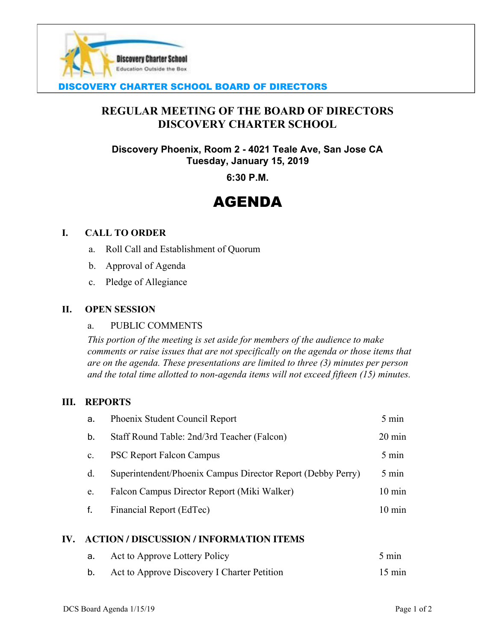

# DISCOVERY CHARTER SCHOOL BOARD OF DIRECTORS

# **REGULAR MEETING OF THE BOARD OF DIRECTORS DISCOVERY CHARTER SCHOOL**

**Discovery Phoenix, Room 2 - 4021 Teale Ave, San Jose CA Tuesday, January 15, 2019**

**6:30 P.M.**

# AGENDA

#### **I. CALL TO ORDER**

- a. Roll Call and Establishment of Quorum
- b. Approval of Agenda
- c. Pledge of Allegiance

#### **II. OPEN SESSION**

#### a. PUBLIC COMMENTS

*This portion of the meeting is set aside for members of the audience to make comments or raise issues that are not specifically on the agenda or those items that are on the agenda. These presentations are limited to three (3) minutes per person and the total time allotted to non-agenda items will not exceed fifteen (15) minutes.*

#### **III. REPORTS**

| a.             | Phoenix Student Council Report                              | 5 min            |
|----------------|-------------------------------------------------------------|------------------|
| b.             | Staff Round Table: 2nd/3rd Teacher (Falcon)                 | $20 \text{ min}$ |
| $\mathbf{c}$ . | <b>PSC Report Falcon Campus</b>                             | 5 min            |
| $d_{\cdot}$    | Superintendent/Phoenix Campus Director Report (Debby Perry) | 5 min            |
| e.             | Falcon Campus Director Report (Miki Walker)                 | $10 \text{ min}$ |
| f.             | Financial Report (EdTec)                                    | $10 \text{ min}$ |

#### **IV. ACTION / DISCUSSION / INFORMATION ITEMS**

| а. | Act to Approve Lottery Policy               | $5 \text{ min}$  |
|----|---------------------------------------------|------------------|
| b. | Act to Approve Discovery I Charter Petition | $15 \text{ min}$ |